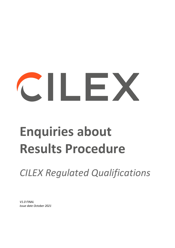# $\sim$  11 Fe

# **Enquiries about Results Procedure**

*CILEX Regulated Qualifications*

*V1.0 FINAL Issue date October 2021*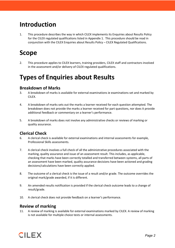## **Introduction**

1. This procedure describes the way in which CILEX implements its Enquiries about Results Policy for the CILEX regulated qualifications listed in Appendix 1. This procedure should be read in conjunction with the CILEX Enquiries about Results Policy – CILEX Regulated Qualifications.

# **Scope**

2. This procedure applies to CILEX learners, training providers, CILEX staff and contractors involved in the assessment and/or delivery of CILEX regulated qualifications.

# **Types of Enquiries about Results**

#### **Breakdown of Marks**

- 3. A breakdown of marks is available for external examinations ie examinations set and marked by CILEX.
- 4. A breakdown of marks sets out the marks a learner received for each question attempted. The breakdown does not provide the marks a learner received for part questions, nor does it provide additional feedback or commentary on a learner's performance.
- 5. A breakdown of marks does not involve any administrative checks or reviews of marking or quality assurance.

#### **Clerical Check**

- 6. A clerical check is available for external examinations and internal assessments for example, Professional Skills assessments.
- 7. A clerical check involves a full check of all the administrative procedures associated with the marking, quality assurance and issue of an assessment result. This includes, as applicable, checking that marks have been correctly totalled and transferred between systems, all parts of an assessment have been marked, quality assurance decisions have been actioned and grading decisions/calculations have been correctly applied.
- 8. The outcome of a clerical check is the issue of a result and/or grade. The outcome overrides the original mark/grade awarded, if it is different.
- 9. An amended results notification is provided if the clerical check outcome leads to a change of result/grade.
- 10. A clerical check does not provide feedback on a learner's performance.

#### **Review of marking**

11. A review of marking is available for external examinations marked by CILEX. A review of marking is not available for multiple choice tests or internal assessments.

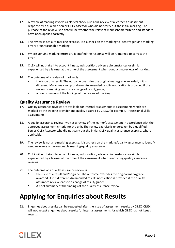- 12. A review of marking involves a clerical check plus a full review of a learner's assessment response by a qualified Senior CILEx Assessor who did not carry out the initial marking. The purpose of the review is to determine whether the relevant mark scheme/criteria and standard have been applied correctly.
- 13. The review is not a re-marking exercise, it is a check on the marking to identify genuine marking errors or unreasonable marking.
- 14. Where genuine marking errors are identified the response will be re-marked to correct the error.
- 15. CILEX will not take into account illness, indisposition, adverse circumstances or similar experienced by a learner at the time of the assessment when conducting reviews of marking.
- 16. The outcome of a review of marking is:
	- the issue of a result. The outcome overrides the original mark/grade awarded, if it is different. Marks may go up or down. An amended results notification is provided if the review of marking leads to a change of result/grade;
	- a brief summary of the findings of the review of marking.

#### **Quality Assurance Review**

- 17. Quality assurance reviews are available for internal assessments ie assessments which are marked by the training provider and quality assured by CILEX, for example, Professional Skills assessments.
- 18. A quality assurance review involves a review of the learner's assessment in accordance with the approved assessment criteria for the unit. The review exercise is undertaken by a qualified Senior CILEx Assessor who did not carry out the initial CILEX quality assurance exercise, where applicable.
- 19. The review is not a re-marking exercise, it is a check on the marking/quality assurance to identify genuine errors or unreasonable marking/quality assurance.
- 20. CILEX will not take into account illness, indisposition, adverse circumstances or similar experienced by a learner at the time of the assessment when conducting quality assurance reviews.
- 21. The outcome of a quality assurance review is:
	- the issue of a result and/or grade. The outcome overrides the original mark/grade awarded, if it is different. An amended results notification is provided if the quality assurance review leads to a change of result/grade;
	- A brief summary of the findings of the quality assurance review.

# **Applying for Enquiries about Results**

22. Enquiries about results can be requested after the issue of assessment results by CILEX. CILEX will not accept enquiries about results for internal assessments for which CILEX has not issued results.

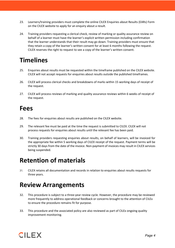- 23. Learners/training providers must complete the online CILEX Enquiries about Results (EARs) Form on the CILEX website to apply for an enquiry about a result.
- 24. Training providers requesting a clerical check, review of marking or quality assurance review on behalf of a learner must have the learner's explicit written permission including confirmation that the learner understands that their result may go down. Training providers must ensure that they retain a copy of the learner's written consent for at least 6 months following the request. CILEX reserves the right to request to see a copy of the learner's written consent.

# **Timelines**

- 25. Enquiries about results must be requested within the timeframe published on the CILEX website. CILEX will not accept requests for enquiries about results outside the published timeframes.
- 26. CILEX will process clerical checks and breakdowns of marks within 15 working days of receipt of the request.
- 27. CILEX will process reviews of marking and quality assurance reviews within 6 weeks of receipt of the request.

### **Fees**

- 28. The fees for enquiries about results are published on the CILEX website.
- 29. The relevant fee must be paid at the time the request is submitted to CILEX. CILEX will not process requests for enquiries about results until the relevant fee has been paid.
- 30. Training providers requesting enquiries about results, on behalf of learners, will be invoiced for the appropriate fee within 5 working days of CILEX receipt of the request. Payment terms will be strictly 30 days from the date of the invoice. Non-payment of invoices may result in CILEX services being suspended.

# **Retention of materials**

31. CILEX retains all documentation and records in relation to enquiries about results requests for three years.

# **Review Arrangements**

- 32. This procedure is subject to a three-year review cycle. However, the procedure may be reviewed more frequently to address operational feedback or concerns brought to the attention of CILEx to ensure the procedure remains fit for purpose.
- 33. This procedure and the associated policy are also reviewed as part of CILEx ongoing quality improvement monitoring.